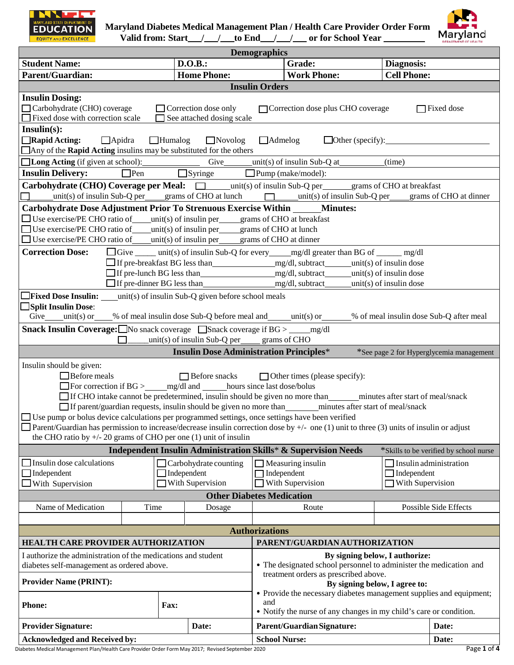



Valid from: Start\_\_\_/\_\_\_/\_\_to End\_\_/\_\_\_/\_\_\_\_or for School Year \_\_\_\_\_\_\_\_\_\_ Maryland

|                                                                                                                                                                                                                                                                                                                                                                                                                                                                                                                                                                            |                                                                                                                                                                          |                                                         | <b>Demographics</b>   |                                                                    |                                                                         |                                          |
|----------------------------------------------------------------------------------------------------------------------------------------------------------------------------------------------------------------------------------------------------------------------------------------------------------------------------------------------------------------------------------------------------------------------------------------------------------------------------------------------------------------------------------------------------------------------------|--------------------------------------------------------------------------------------------------------------------------------------------------------------------------|---------------------------------------------------------|-----------------------|--------------------------------------------------------------------|-------------------------------------------------------------------------|------------------------------------------|
| <b>Student Name:</b>                                                                                                                                                                                                                                                                                                                                                                                                                                                                                                                                                       |                                                                                                                                                                          | D.O.B.:                                                 |                       | Grade:                                                             | Diagnosis:                                                              |                                          |
| <b>Parent/Guardian:</b>                                                                                                                                                                                                                                                                                                                                                                                                                                                                                                                                                    |                                                                                                                                                                          | <b>Home Phone:</b>                                      |                       | <b>Work Phone:</b>                                                 | <b>Cell Phone:</b>                                                      |                                          |
|                                                                                                                                                                                                                                                                                                                                                                                                                                                                                                                                                                            |                                                                                                                                                                          |                                                         | <b>Insulin Orders</b> |                                                                    |                                                                         |                                          |
| <b>Insulin Dosing:</b><br>Carbohydrate (CHO) coverage<br>Correction dose only<br>Correction dose plus CHO coverage<br>$\Box$ Fixed dose<br>$\Box$ Fixed dose with correction scale<br>See attached dosing scale                                                                                                                                                                                                                                                                                                                                                            |                                                                                                                                                                          |                                                         |                       |                                                                    |                                                                         |                                          |
| $Insulin(s)$ :<br>$\Box$ Rapid Acting:<br>$\Box$ Apidra                                                                                                                                                                                                                                                                                                                                                                                                                                                                                                                    | $\Box$ Humalog<br>$\Box$ Other (specify): $\Box$<br>$\Box$ Novolog<br>$\Box$ Admelog<br>$\Box$ Any of the <b>Rapid Acting</b> insulins may be substituted for the others |                                                         |                       |                                                                    |                                                                         |                                          |
|                                                                                                                                                                                                                                                                                                                                                                                                                                                                                                                                                                            |                                                                                                                                                                          |                                                         |                       |                                                                    | (time)                                                                  |                                          |
| <b>Insulin Delivery:</b><br>$\Box$ Pen                                                                                                                                                                                                                                                                                                                                                                                                                                                                                                                                     |                                                                                                                                                                          | $\Box$ Syringe                                          |                       | $\Box$ Pump (make/model):                                          |                                                                         |                                          |
| Carbohydrate (CHO) Coverage per Meal:<br>$\Box$ unit(s) of insulin Sub-Q per grams of CHO at breakfast                                                                                                                                                                                                                                                                                                                                                                                                                                                                     |                                                                                                                                                                          |                                                         |                       |                                                                    |                                                                         |                                          |
| $unit(s)$ of insulin Sub-Q per grams of CHO at lunch $unit(s)$ of insulin Sub-Q per grams of CHO at dinner                                                                                                                                                                                                                                                                                                                                                                                                                                                                 |                                                                                                                                                                          |                                                         |                       |                                                                    |                                                                         |                                          |
|                                                                                                                                                                                                                                                                                                                                                                                                                                                                                                                                                                            |                                                                                                                                                                          |                                                         |                       |                                                                    |                                                                         |                                          |
| Carbohydrate Dose Adjustment Prior To Strenuous Exercise Within ______ Minutes:<br>$\Box$ Use exercise/PE CHO ratio of unit(s) of insulin per grams of CHO at breakfast<br>$\Box$ Use exercise/PE CHO ratio of _____ unit(s) of insulin per ______ grams of CHO at lunch<br>$\Box$ Use exercise/PE CHO ratio of _____ unit(s) of insulin per ______ grams of CHO at dinner                                                                                                                                                                                                 |                                                                                                                                                                          |                                                         |                       |                                                                    |                                                                         |                                          |
| <b>Correction Dose:</b><br>□ Give _____ unit(s) of insulin Sub-Q for every _____ mg/dl greater than BG of ______ mg/dl<br>If pre-lunch BG less than mg/dl, subtract unit(s) of insulin dose                                                                                                                                                                                                                                                                                                                                                                                |                                                                                                                                                                          |                                                         |                       |                                                                    |                                                                         |                                          |
| <b>Trixed Dose Insulin:</b> $\_\_$ unit(s) of insulin Sub-Q given before school meals<br>Split Insulin Dose:                                                                                                                                                                                                                                                                                                                                                                                                                                                               |                                                                                                                                                                          |                                                         |                       |                                                                    |                                                                         |                                          |
| Give___unit(s) or____% of meal insulin dose Sub-Q before meal and____unit(s) or_____% of meal insulin dose Sub-Q after meal                                                                                                                                                                                                                                                                                                                                                                                                                                                |                                                                                                                                                                          |                                                         |                       |                                                                    |                                                                         |                                          |
| <b>Snack Insulin Coverage:</b> $\Box$ No snack coverage $\Box$ Snack coverage if BG > $\Box$ mg/dl                                                                                                                                                                                                                                                                                                                                                                                                                                                                         |                                                                                                                                                                          | $unit(s)$ of insulin Sub-Q per grams of CHO             |                       |                                                                    |                                                                         |                                          |
|                                                                                                                                                                                                                                                                                                                                                                                                                                                                                                                                                                            |                                                                                                                                                                          | <b>Insulin Dose Administration Principles*</b>          |                       |                                                                    |                                                                         | *See page 2 for Hyperglycemia management |
| Insulin should be given:<br>$\Box$ Before meals<br>$\Box$ Before snacks<br>$\Box$ Other times (please specify):<br>□ For correction if BG > _____ mg/dl and ______ hours since last dose/bolus<br>□ If CHO intake cannot be predetermined, insulin should be given no more than minutes after start of meal/snack<br>□ Use pump or bolus device calculations per programmed settings, once settings have been verified<br>$\Box$ Parent/Guardian has permission to increase/decrease insulin correction dose by $+/-$ one (1) unit to three (3) units of insulin or adjust |                                                                                                                                                                          |                                                         |                       |                                                                    |                                                                         |                                          |
| the CHO ratio by $+/- 20$ grams of CHO per one (1) unit of insulin<br><b>Independent Insulin Administration Skills* &amp; Supervision Needs</b><br>*Skills to be verified by school nurse                                                                                                                                                                                                                                                                                                                                                                                  |                                                                                                                                                                          |                                                         |                       |                                                                    |                                                                         |                                          |
| Insulin dose calculations<br>$\Box$ Independent<br>$\Box$ With Supervision                                                                                                                                                                                                                                                                                                                                                                                                                                                                                                 | $\Box$ Independent                                                                                                                                                       | $\Box$ Carbohydrate counting<br>$\Box$ With Supervision | $\Box$ Independent    | $\Box$ Measuring insulin<br>With Supervision                       | $\Box$ Insulin administration<br>$\Box$ Independent<br>With Supervision |                                          |
|                                                                                                                                                                                                                                                                                                                                                                                                                                                                                                                                                                            |                                                                                                                                                                          | <b>Other Diabetes Medication</b>                        |                       |                                                                    |                                                                         |                                          |
| Name of Medication                                                                                                                                                                                                                                                                                                                                                                                                                                                                                                                                                         | Time                                                                                                                                                                     | Dosage                                                  |                       | Route                                                              |                                                                         | <b>Possible Side Effects</b>             |
|                                                                                                                                                                                                                                                                                                                                                                                                                                                                                                                                                                            |                                                                                                                                                                          |                                                         |                       |                                                                    |                                                                         |                                          |
|                                                                                                                                                                                                                                                                                                                                                                                                                                                                                                                                                                            |                                                                                                                                                                          |                                                         | <b>Authorizations</b> |                                                                    |                                                                         |                                          |
| <b>HEALTH CARE PROVIDER AUTHORIZATION</b><br>PARENT/GUARDIAN AUTHORIZATION                                                                                                                                                                                                                                                                                                                                                                                                                                                                                                 |                                                                                                                                                                          |                                                         |                       |                                                                    |                                                                         |                                          |
| I authorize the administration of the medications and student<br>By signing below, I authorize:<br>• The designated school personnel to administer the medication and<br>diabetes self-management as ordered above.<br>treatment orders as prescribed above.                                                                                                                                                                                                                                                                                                               |                                                                                                                                                                          |                                                         |                       |                                                                    |                                                                         |                                          |
| <b>Provider Name (PRINT):</b><br>By signing below, I agree to:<br>• Provide the necessary diabetes management supplies and equipment;<br>and                                                                                                                                                                                                                                                                                                                                                                                                                               |                                                                                                                                                                          |                                                         |                       |                                                                    |                                                                         |                                          |
| <b>Phone:</b>                                                                                                                                                                                                                                                                                                                                                                                                                                                                                                                                                              | Fax:                                                                                                                                                                     |                                                         |                       | • Notify the nurse of any changes in my child's care or condition. |                                                                         |                                          |
| <b>Provider Signature:</b>                                                                                                                                                                                                                                                                                                                                                                                                                                                                                                                                                 |                                                                                                                                                                          | Date:                                                   |                       | <b>Parent/Guardian Signature:</b>                                  |                                                                         | Date:                                    |
| <b>Acknowledged and Received by:</b>                                                                                                                                                                                                                                                                                                                                                                                                                                                                                                                                       |                                                                                                                                                                          |                                                         | <b>School Nurse:</b>  |                                                                    |                                                                         | Date:                                    |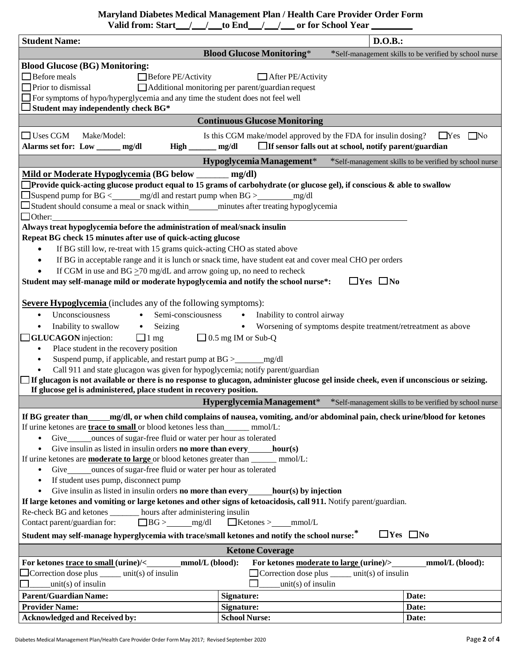**Maryland Diabetes Medical Management Plan / Health Care Provider Order Form** 

 **\_\_\_\_\_\_\_\_\_ \_\_\_ \_\_\_ \_\_\_ \_\_\_ \_\_\_ \_\_\_ Valid from: Start / / to End / / or for School Year** 

| <b>Student Name:</b>                                                                                                                                                                                                                                                                                                                                                                                                                                                                                                                                                                                                                                                                                                                                                                                                                                                                                                                                                                                                                                                                                                                                                                                      | D.O.B.:                                                                                                                                                 |                                                        |  |
|-----------------------------------------------------------------------------------------------------------------------------------------------------------------------------------------------------------------------------------------------------------------------------------------------------------------------------------------------------------------------------------------------------------------------------------------------------------------------------------------------------------------------------------------------------------------------------------------------------------------------------------------------------------------------------------------------------------------------------------------------------------------------------------------------------------------------------------------------------------------------------------------------------------------------------------------------------------------------------------------------------------------------------------------------------------------------------------------------------------------------------------------------------------------------------------------------------------|---------------------------------------------------------------------------------------------------------------------------------------------------------|--------------------------------------------------------|--|
|                                                                                                                                                                                                                                                                                                                                                                                                                                                                                                                                                                                                                                                                                                                                                                                                                                                                                                                                                                                                                                                                                                                                                                                                           | <b>Blood Glucose Monitoring*</b>                                                                                                                        | *Self-management skills to be verified by school nurse |  |
| <b>Blood Glucose (BG) Monitoring:</b><br>$\Box$ Before meals<br>$\Box$ Before PE/Activity<br>$\Box$ Prior to dismissal<br>The symptoms of hypo/hyperglycemia and any time the student does not feel well<br>$\Box$ Student may independently check BG*                                                                                                                                                                                                                                                                                                                                                                                                                                                                                                                                                                                                                                                                                                                                                                                                                                                                                                                                                    | $\Box$ After PE/Activity<br>Additional monitoring per parent/guardian request                                                                           |                                                        |  |
|                                                                                                                                                                                                                                                                                                                                                                                                                                                                                                                                                                                                                                                                                                                                                                                                                                                                                                                                                                                                                                                                                                                                                                                                           | <b>Continuous Glucose Monitoring</b>                                                                                                                    |                                                        |  |
| $\Box$ Uses CGM<br>Make/Model:                                                                                                                                                                                                                                                                                                                                                                                                                                                                                                                                                                                                                                                                                                                                                                                                                                                                                                                                                                                                                                                                                                                                                                            | Is this CGM make/model approved by the FDA for insulin dosing?                                                                                          | $\Box$ No<br>$\Box$ Yes                                |  |
| Alarms set for: Low _____ mg/dl<br>High                                                                                                                                                                                                                                                                                                                                                                                                                                                                                                                                                                                                                                                                                                                                                                                                                                                                                                                                                                                                                                                                                                                                                                   | $\Box$ If sensor falls out at school, notify parent/guardian<br>mg/dl                                                                                   |                                                        |  |
|                                                                                                                                                                                                                                                                                                                                                                                                                                                                                                                                                                                                                                                                                                                                                                                                                                                                                                                                                                                                                                                                                                                                                                                                           | Hypoglycemia Management*                                                                                                                                | *Self-management skills to be verified by school nurse |  |
| Mild or Moderate Hypoglycemia (BG below _______<br>$\Box$ Provide quick-acting glucose product equal to 15 grams of carbohydrate (or glucose gel), if conscious $\&$ able to swallow<br>$\Box$ Suspend pump for BG < mg/dl and restart pump when BG ><br>$\Box$ Student should consume a meal or snack within minutes after treating hypoglycemia<br>$\Box$ Other:<br>Always treat hypoglycemia before the administration of meal/snack insulin<br>Repeat BG check 15 minutes after use of quick-acting glucose<br>If BG still low, re-treat with 15 grams quick-acting CHO as stated above<br>$\bullet$                                                                                                                                                                                                                                                                                                                                                                                                                                                                                                                                                                                                  | mg/dl<br>mg/dl                                                                                                                                          |                                                        |  |
| If BG in acceptable range and it is lunch or snack time, have student eat and cover meal CHO per orders<br>$\bullet$<br>If CGM in use and BG $\geq$ 70 mg/dL and arrow going up, no need to recheck<br>Student may self-manage mild or moderate hypoglycemia and notify the school nurse*:<br>$\Box$ Yes $\Box$ No<br><b>Severe Hypoglycemia</b> (includes any of the following symptoms):                                                                                                                                                                                                                                                                                                                                                                                                                                                                                                                                                                                                                                                                                                                                                                                                                |                                                                                                                                                         |                                                        |  |
| Unconsciousness<br>Semi-consciousness<br>• Inability to control airway<br>$\bullet$<br>Inability to swallow<br>• Seizing<br>Worsening of symptoms despite treatment/retreatment as above<br>$\bullet$<br>$\bullet$<br>GLUCAGON injection:<br>$\Box$ 0.5 mg IM or Sub-Q<br>$\Box$ 1 mg<br>Place student in the recovery position<br>$\bullet$<br>$\bullet$<br>Call 911 and state glucagon was given for hypoglycemia; notify parent/guardian<br>$\bullet$<br>$\exists$ If glucagon is not available or there is no response to glucagon, administer glucose gel inside cheek, even if unconscious or seizing.<br>If glucose gel is administered, place student in recovery position.                                                                                                                                                                                                                                                                                                                                                                                                                                                                                                                       |                                                                                                                                                         |                                                        |  |
|                                                                                                                                                                                                                                                                                                                                                                                                                                                                                                                                                                                                                                                                                                                                                                                                                                                                                                                                                                                                                                                                                                                                                                                                           | Hyperglycemia Management*                                                                                                                               | *Self-management skills to be verified by school nurse |  |
| If BG greater than _____ mg/dl, or when child complains of nausea, vomiting, and/or abdominal pain, check urine/blood for ketones<br>If urine ketones are <b>trace to small</b> or blood ketones less than________ mmol/L:<br>Give_______ounces of sugar-free fluid or water per hour as tolerated<br>$\bullet$<br>Give insulin as listed in insulin orders <b>no more than every</b> _____ <b>hour(s)</b><br>$\bullet$<br>If urine ketones are <b>moderate to large</b> or blood ketones greater than _______ mmol/L:<br>Give_______ounces of sugar-free fluid or water per hour as tolerated<br>$\bullet$<br>If student uses pump, disconnect pump<br>$\bullet$<br>Give insulin as listed in insulin orders <b>no more than every</b> hour(s) by injection<br>$\bullet$<br>If large ketones and vomiting or large ketones and other signs of ketoacidosis, call 911. Notify parent/guardian.<br>Re-check BG and ketones _______ hours after administering insulin<br>Contact parent/guardian for: $\Box BG > \underline{\qquad}$ mg/dl $\Box$ Ketones > ____ mmol/L<br>Student may self-manage hyperglycemia with trace/small ketones and notify the school nurse: <sup>*</sup><br>$\Box$ Yes $\Box$ No |                                                                                                                                                         |                                                        |  |
|                                                                                                                                                                                                                                                                                                                                                                                                                                                                                                                                                                                                                                                                                                                                                                                                                                                                                                                                                                                                                                                                                                                                                                                                           | <b>Ketone Coverage</b>                                                                                                                                  |                                                        |  |
| For ketones trace to small (urine)/< mmol/L (blood):<br>Correction dose plus $\_\_\_\_$ unit(s) of insulin<br>$unit(s)$ of insulin                                                                                                                                                                                                                                                                                                                                                                                                                                                                                                                                                                                                                                                                                                                                                                                                                                                                                                                                                                                                                                                                        | For ketones moderate to large (urine)/>___________mmol/L (blood):<br>$\Box$ Correction dose plus $\_\_\_\_\$ unit(s) of insulin<br>$unit(s)$ of insulin |                                                        |  |
| <b>Parent/Guardian Name:</b>                                                                                                                                                                                                                                                                                                                                                                                                                                                                                                                                                                                                                                                                                                                                                                                                                                                                                                                                                                                                                                                                                                                                                                              | <b>Signature:</b>                                                                                                                                       | Date:                                                  |  |
| <b>Provider Name:</b>                                                                                                                                                                                                                                                                                                                                                                                                                                                                                                                                                                                                                                                                                                                                                                                                                                                                                                                                                                                                                                                                                                                                                                                     | <b>Signature:</b>                                                                                                                                       | Date:                                                  |  |
| <b>Acknowledged and Received by:</b>                                                                                                                                                                                                                                                                                                                                                                                                                                                                                                                                                                                                                                                                                                                                                                                                                                                                                                                                                                                                                                                                                                                                                                      | <b>School Nurse:</b>                                                                                                                                    | Date:                                                  |  |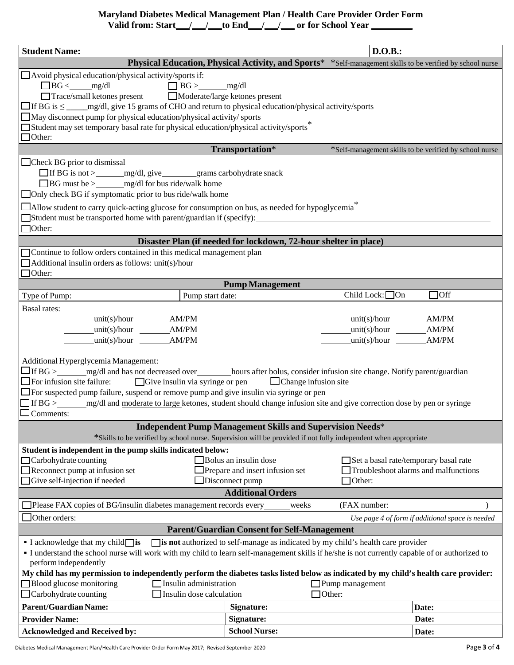## **Maryland Diabetes Medical Management Plan / Health Care Provider Order Form**

\_\_\_\_/\_\_\_\_\_\_to End\_\_\_\_/\_\_\_\_\_\_\_ or for School Year \_\_\_\_\_\_\_\_\_ **Valid from: Start / / to End / / or for School Year** 

| <b>Student Name:</b>                                                                                                                                                                                                                                                                                                                                                                                                                                                                                                                                                                                                                           |                                                                                                           | D.O.B.:                                                                                        |                                                        |
|------------------------------------------------------------------------------------------------------------------------------------------------------------------------------------------------------------------------------------------------------------------------------------------------------------------------------------------------------------------------------------------------------------------------------------------------------------------------------------------------------------------------------------------------------------------------------------------------------------------------------------------------|-----------------------------------------------------------------------------------------------------------|------------------------------------------------------------------------------------------------|--------------------------------------------------------|
|                                                                                                                                                                                                                                                                                                                                                                                                                                                                                                                                                                                                                                                | Physical Education, Physical Activity, and Sports* *Self-management skills to be verified by school nurse |                                                                                                |                                                        |
| $\Box$ Avoid physical education/physical activity/sports if:<br>$\Box$ BG < mg/dl<br>$\Box$ BG > mg/dl<br>Trace/small ketones present Moderate/large ketones present<br>May disconnect pump for physical education/physical activity/ sports<br>Student may set temporary basal rate for physical education/physical activity/sports <sup>3</sup><br>$\Box$ Other:                                                                                                                                                                                                                                                                             |                                                                                                           |                                                                                                |                                                        |
|                                                                                                                                                                                                                                                                                                                                                                                                                                                                                                                                                                                                                                                | Transportation*                                                                                           |                                                                                                | *Self-management skills to be verified by school nurse |
| $\Box$ Check BG prior to dismissal<br>□ If BG is not > ________ mg/dl, give _________ grams carbohydrate snack<br>$\Box$ BG must be > ________ mg/dl for bus ride/walk home<br>□ Only check BG if symptomatic prior to bus ride/walk home<br>$\Box$ Allow student to carry quick-acting glucose for consumption on bus, as needed for hypoglycemia <sup>*</sup><br>$\Box$ Student must be transported home with parent/guardian if (specify):<br>$\Box$ Other:                                                                                                                                                                                 |                                                                                                           |                                                                                                |                                                        |
|                                                                                                                                                                                                                                                                                                                                                                                                                                                                                                                                                                                                                                                | Disaster Plan (if needed for lockdown, 72-hour shelter in place)                                          |                                                                                                |                                                        |
| Continue to follow orders contained in this medical management plan<br>Additional insulin orders as follows: unit(s)/hour<br>$\Box$ Other:                                                                                                                                                                                                                                                                                                                                                                                                                                                                                                     |                                                                                                           |                                                                                                |                                                        |
|                                                                                                                                                                                                                                                                                                                                                                                                                                                                                                                                                                                                                                                | <b>Pump Management</b>                                                                                    |                                                                                                |                                                        |
| Pump start date:<br>Type of Pump:                                                                                                                                                                                                                                                                                                                                                                                                                                                                                                                                                                                                              |                                                                                                           | Child Lock: $\Box$ On                                                                          | $\Box$ Off                                             |
| <b>Basal</b> rates:<br>$unit(s)/hour$ $AM/PM$<br>$unit(s)/hour$ $AM/PM$<br>$unit(s)/hour$ $AM/PM$<br>unit(s)/hour AM/PM<br>$unit(s)/hour$ $AM/PM$<br>$unit(s)/hour$ $AM/PM$<br>Additional Hyperglycemia Management:<br>$\Box$ For infusion site failure: $\Box$ Give insulin via syringe or pen $\Box$ Change infusion site<br>□ For suspected pump failure, suspend or remove pump and give insulin via syringe or pen<br>$\Box$ If BG > mg/dl and moderate to large ketones, student should change infusion site and give correction dose by pen or syringe                                                                                  |                                                                                                           |                                                                                                |                                                        |
| $\Box$ Comments:                                                                                                                                                                                                                                                                                                                                                                                                                                                                                                                                                                                                                               |                                                                                                           |                                                                                                |                                                        |
|                                                                                                                                                                                                                                                                                                                                                                                                                                                                                                                                                                                                                                                | <b>Independent Pump Management Skills and Supervision Needs*</b>                                          |                                                                                                |                                                        |
| *Skills to be verified by school nurse. Supervision will be provided if not fully independent when appropriate                                                                                                                                                                                                                                                                                                                                                                                                                                                                                                                                 |                                                                                                           |                                                                                                |                                                        |
| Student is independent in the pump skills indicated below:<br>$\Box$ Carbohydrate counting<br>Reconnect pump at infusion set<br>Give self-injection if needed                                                                                                                                                                                                                                                                                                                                                                                                                                                                                  | Bolus an insulin dose<br>Prepare and insert infusion set<br>Disconnect pump<br><b>Additional Orders</b>   | Set a basal rate/temporary basal rate<br>Troubleshoot alarms and malfunctions<br>$\Box$ Other: |                                                        |
| Please FAX copies of BG/insulin diabetes management records every                                                                                                                                                                                                                                                                                                                                                                                                                                                                                                                                                                              | weeks                                                                                                     | (FAX number:                                                                                   |                                                        |
| Other orders:                                                                                                                                                                                                                                                                                                                                                                                                                                                                                                                                                                                                                                  |                                                                                                           |                                                                                                | Use page 4 of form if additional space is needed       |
|                                                                                                                                                                                                                                                                                                                                                                                                                                                                                                                                                                                                                                                | <b>Parent/Guardian Consent for Self-Management</b>                                                        |                                                                                                |                                                        |
| $\Box$ is not authorized to self-manage as indicated by my child's health care provider<br>$\blacksquare$ I acknowledge that my child $\blacksquare$ is<br>- I understand the school nurse will work with my child to learn self-management skills if he/she is not currently capable of or authorized to<br>perform independently<br>My child has my permission to independently perform the diabetes tasks listed below as indicated by my child's health care provider:<br>Blood glucose monitoring<br>Insulin administration<br>$\Box$ Pump management<br>$\Box$ Carbohydrate counting<br>$\Box$ Insulin dose calculation<br>$\Box$ Other: |                                                                                                           |                                                                                                |                                                        |
| <b>Parent/Guardian Name:</b>                                                                                                                                                                                                                                                                                                                                                                                                                                                                                                                                                                                                                   | Signature:                                                                                                |                                                                                                | Date:                                                  |
| <b>Provider Name:</b>                                                                                                                                                                                                                                                                                                                                                                                                                                                                                                                                                                                                                          | <b>Signature:</b>                                                                                         |                                                                                                | Date:                                                  |
| <b>Acknowledged and Received by:</b>                                                                                                                                                                                                                                                                                                                                                                                                                                                                                                                                                                                                           | <b>School Nurse:</b>                                                                                      |                                                                                                | Date:                                                  |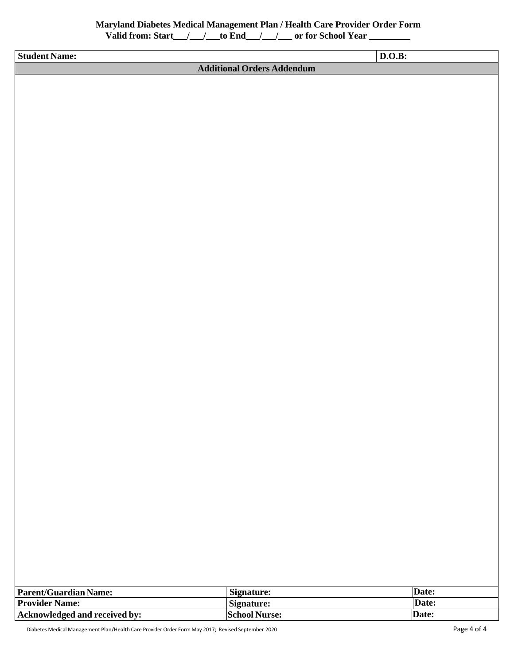| <b>Student Name:</b> |                                   | D.O.B: |  |
|----------------------|-----------------------------------|--------|--|
|                      | <b>Additional Orders Addendum</b> |        |  |
|                      |                                   |        |  |
|                      |                                   |        |  |
|                      |                                   |        |  |
|                      |                                   |        |  |
|                      |                                   |        |  |
|                      |                                   |        |  |
|                      |                                   |        |  |

| <b>Parent/Guardian Name:</b>  | Signature:    | Date: |
|-------------------------------|---------------|-------|
| <b>Provider Name:</b>         | Signature:    | Date: |
| Acknowledged and received by: | School Nurse: | Date: |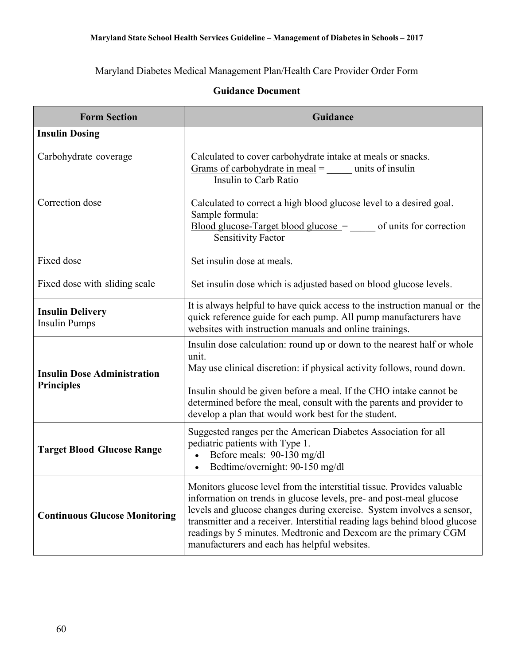Maryland Diabetes Medical Management Plan/Health Care Provider Order Form

| <b>Form Section</b>                                     | Guidance                                                                                                                                                                                                                                                                                                                                                                                                                |
|---------------------------------------------------------|-------------------------------------------------------------------------------------------------------------------------------------------------------------------------------------------------------------------------------------------------------------------------------------------------------------------------------------------------------------------------------------------------------------------------|
| <b>Insulin Dosing</b>                                   |                                                                                                                                                                                                                                                                                                                                                                                                                         |
| Carbohydrate coverage                                   | Calculated to cover carbohydrate intake at meals or snacks.<br>Grams of carbohydrate in meal $=$ units of insulin<br>Insulin to Carb Ratio                                                                                                                                                                                                                                                                              |
| Correction dose                                         | Calculated to correct a high blood glucose level to a desired goal.<br>Sample formula:<br>$\frac{1}{2} \text{ Blood glucose-Target blood glucose}$ =<br>of units for correction<br><b>Sensitivity Factor</b>                                                                                                                                                                                                            |
| Fixed dose                                              | Set insulin dose at meals.                                                                                                                                                                                                                                                                                                                                                                                              |
| Fixed dose with sliding scale                           | Set insulin dose which is adjusted based on blood glucose levels.                                                                                                                                                                                                                                                                                                                                                       |
| <b>Insulin Delivery</b><br><b>Insulin Pumps</b>         | It is always helpful to have quick access to the instruction manual or the<br>quick reference guide for each pump. All pump manufacturers have<br>websites with instruction manuals and online trainings.                                                                                                                                                                                                               |
| <b>Insulin Dose Administration</b><br><b>Principles</b> | Insulin dose calculation: round up or down to the nearest half or whole<br>unit.<br>May use clinical discretion: if physical activity follows, round down.<br>Insulin should be given before a meal. If the CHO intake cannot be<br>determined before the meal, consult with the parents and provider to<br>develop a plan that would work best for the student.                                                        |
| <b>Target Blood Glucose Range</b>                       | Suggested ranges per the American Diabetes Association for all<br>pediatric patients with Type 1.<br>Before meals: 90-130 mg/dl<br>Bedtime/overnight: 90-150 mg/dl                                                                                                                                                                                                                                                      |
| <b>Continuous Glucose Monitoring</b>                    | Monitors glucose level from the interstitial tissue. Provides valuable<br>information on trends in glucose levels, pre- and post-meal glucose<br>levels and glucose changes during exercise. System involves a sensor,<br>transmitter and a receiver. Interstitial reading lags behind blood glucose<br>readings by 5 minutes. Medtronic and Dexcom are the primary CGM<br>manufacturers and each has helpful websites. |

## **Guidance Document**